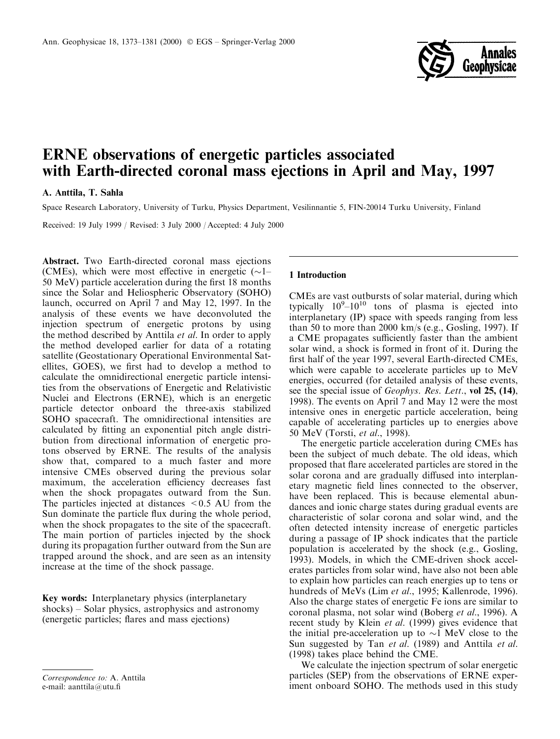

# **ERNE** observations of energetic particles associated with Earth-directed coronal mass ejections in April and May, 1997

## A. Anttila, T. Sahla

Space Research Laboratory, University of Turku, Physics Department, Vesilinnantie 5, FIN-20014 Turku University, Finland

Received: 19 July 1999 / Revised: 3 July 2000 / Accepted: 4 July 2000

Abstract. Two Earth-directed coronal mass ejections (CMEs), which were most effective in energetic  $(\sim]$ -50 MeV) particle acceleration during the first 18 months since the Solar and Heliospheric Observatory (SOHO) launch, occurred on April 7 and May 12, 1997. In the analysis of these events we have deconvoluted the injection spectrum of energetic protons by using the method described by Anttila et al. In order to apply the method developed earlier for data of a rotating satellite (Geostationary Operational Environmental Satellites, GOES), we first had to develop a method to calculate the omnidirectional energetic particle intensities from the observations of Energetic and Relativistic Nuclei and Electrons (ERNE), which is an energetic particle detector onboard the three-axis stabilized SOHO spacecraft. The omnidirectional intensities are calculated by fitting an exponential pitch angle distribution from directional information of energetic protons observed by ERNE. The results of the analysis show that, compared to a much faster and more intensive CMEs observed during the previous solar maximum, the acceleration efficiency decreases fast when the shock propagates outward from the Sun. The particles injected at distances  $\leq 0.5$  AU from the Sun dominate the particle flux during the whole period, when the shock propagates to the site of the spacecraft. The main portion of particles injected by the shock during its propagation further outward from the Sun are trapped around the shock, and are seen as an intensity increase at the time of the shock passage.

Key words: Interplanetary physics (interplanetary  $shocks$ ) – Solar physics, astrophysics and astronomy (energetic particles; flares and mass ejections)

#### Correspondence to A. Anttila e-mail: aanttila@utu.fi

### 1 Introduction

CMEs are vast outbursts of solar material, during which typically  $10^9-10^{10}$  tons of plasma is ejected into interplanetary (IP) space with speeds ranging from less than 50 to more than 2000 km/s (e.g., Gosling, 1997). If a CME propagates sufficiently faster than the ambient solar wind, a shock is formed in front of it. During the first half of the year 1997, several Earth-directed CMEs, which were capable to accelerate particles up to MeV energies, occurred (for detailed analysis of these events, see the special issue of *Geophys. Res. Lett.*, vol 25, (14), 1998). The events on April 7 and May 12 were the most intensive ones in energetic particle acceleration, being capable of accelerating particles up to energies above 50 MeV (Torsti, et al., 1998).

The energetic particle acceleration during CMEs has been the subject of much debate. The old ideas, which proposed that flare accelerated particles are stored in the solar corona and are gradually diffused into interplanetary magnetic field lines connected to the observer, have been replaced. This is because elemental abundances and ionic charge states during gradual events are characteristic of solar corona and solar wind, and the often detected intensity increase of energetic particles during a passage of IP shock indicates that the particle population is accelerated by the shock (e.g., Gosling, 1993). Models, in which the CME-driven shock accelerates particles from solar wind, have also not been able to explain how particles can reach energies up to tens or hundreds of MeVs (Lim et al., 1995; Kallenrode, 1996). Also the charge states of energetic Fe ions are similar to coronal plasma, not solar wind (Boberg et al., 1996). A recent study by Klein et al. (1999) gives evidence that the initial pre-acceleration up to  $\sim$ 1 MeV close to the Sun suggested by Tan et al. (1989) and Anttila et al.  $(1998)$  takes place behind the CME.

We calculate the injection spectrum of solar energetic particles (SEP) from the observations of ERNE experiment onboard SOHO. The methods used in this study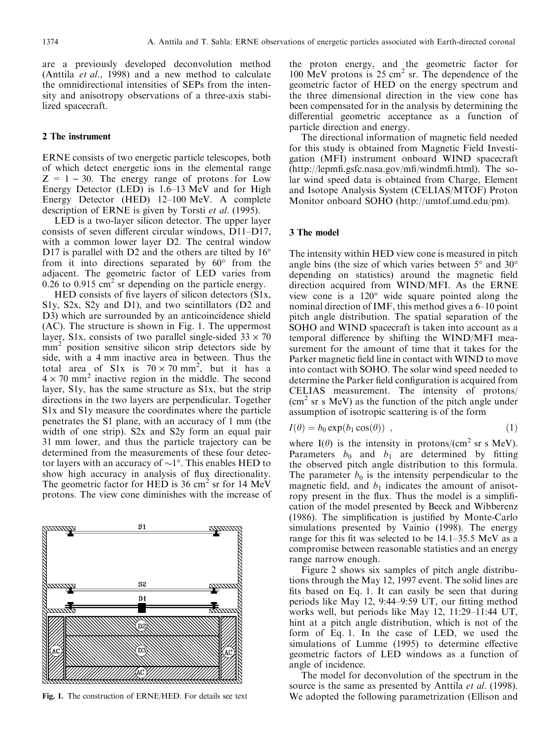are a previously developed deconvolution method (Anttila et al., 1998) and a new method to calculate the omnidirectional intensities of SEPs from the intensity and anisotropy observations of a three-axis stabilized spacecraft.

#### 2 The instrument

ERNE consists of two energetic particle telescopes, both of which detect energetic ions in the elemental range  $Z = 1 - 30$ . The energy range of protons for Low Energy Detector (LED) is 1.6–13 MeV and for High Energy Detector (HED) 12-100 MeV. A complete description of ERNE is given by Torsti et al. (1995).

LED is a two-layer silicon detector. The upper layer consists of seven different circular windows, D11-D17, with a common lower layer D2. The central window D17 is parallel with D2 and the others are tilted by  $16^{\circ}$ from it into directions separated by  $60^{\circ}$  from the adjacent. The geometric factor of LED varies from  $0.26$  to  $0.915$  cm<sup>2</sup> sr depending on the particle energy.

HED consists of five layers of silicon detectors (S1x, S1y, S2x, S2y and D1), and two scintillators (D2 and D3) which are surrounded by an anticoincidence shield (AC). The structure is shown in Fig. 1. The uppermost layer, S1x, consists of two parallel single-sided  $33 \times 70$ mm<sup>2</sup> position sensitive silicon strip detectors side by side, with a 4 mm inactive area in between. Thus the total area of S1x is  $70 \times 70$  mm<sup>2</sup>, but it has a  $4 \times 70$  mm<sup>2</sup> inactive region in the middle. The second layer, S1y, has the same structure as S1x, but the strip directions in the two layers are perpendicular. Together S1x and S1y measure the coordinates where the particle penetrates the S1 plane, with an accuracy of 1 mm (the width of one strip). S2x and S2y form an equal pair 31 mm lower, and thus the particle trajectory can be determined from the measurements of these four detector layers with an accuracy of  $\sim$ 1°. This enables HED to show high accuracy in analysis of flux directionality. The geometric factor for HED is 36 cm<sup>2</sup> sr for 14 MeV protons. The view cone diminishes with the increase of



Fig. 1. The construction of ERNE/HED. For details see text

the proton energy, and the geometric factor for 100 MeV protons is  $25 \text{ cm}^2$  sr. The dependence of the geometric factor of HED on the energy spectrum and the three dimensional direction in the view cone has been compensated for in the analysis by determining the differential geometric acceptance as a function of particle direction and energy.

The directional information of magnetic field needed for this study is obtained from Magnetic Field Investigation (MFI) instrument onboard WIND spacecraft  $(http://lepmf.gsfc. nasa.gov/mf/yindmf.html)$ . The solar wind speed data is obtained from Charge, Element and Isotope Analysis System (CELIAS/MTOF) Proton Monitor onboard SOHO (http://umtof.umd.edu/pm).

## 3 The model

The intensity within HED view cone is measured in pitch angle bins (the size of which varies between 5° and 30° depending on statistics) around the magnetic field direction acquired from WIND/MFI. As the ERNE view cone is a  $120^{\circ}$  wide square pointed along the nominal direction of IMF, this method gives a 6–10 point pitch angle distribution. The spatial separation of the SOHO and WIND spacecraft is taken into account as a temporal difference by shifting the WIND/MFI measurement for the amount of time that it takes for the Parker magnetic field line in contact with WIND to move into contact with SOHO. The solar wind speed needed to determine the Parker field configuration is acquired from CELIAS measurement. The intensity of protons/  $\text{cm}^2$  sr s MeV) as the function of the pitch angle under assumption of isotropic scattering is of the form

$$
I(\theta) = b_0 \exp(b_1 \cos(\theta)) \tag{1}
$$

where  $I(\theta)$  is the intensity in protons/(cm<sup>2</sup> sr s MeV). Parameters  $b_0$  and  $b_1$  are determined by fitting the observed pitch angle distribution to this formula. The parameter  $b_0$  is the intensity perpendicular to the magnetic field, and  $b_1$  indicates the amount of anisotropy present in the flux. Thus the model is a simplification of the model presented by Beeck and Wibberenz (1986). The simplification is justified by Monte-Carlo simulations presented by Vainio (1998). The energy range for this fit was selected to be  $14.1-35.5$  MeV as a compromise between reasonable statistics and an energy range narrow enough.

Figure 2 shows six samples of pitch angle distributions through the May 12, 1997 event. The solid lines are fits based on Eq. 1. It can easily be seen that during periods like May 12, 9:44–9:59 UT, our fitting method works well, but periods like May 12, 11:29–11:44 UT, hint at a pitch angle distribution, which is not of the form of Eq. 1. In the case of LED, we used the simulations of Lumme (1995) to determine effective geometric factors of LED windows as a function of angle of incidence.

The model for deconvolution of the spectrum in the source is the same as presented by Anttila et al. (1998). We adopted the following parametrization (Ellison and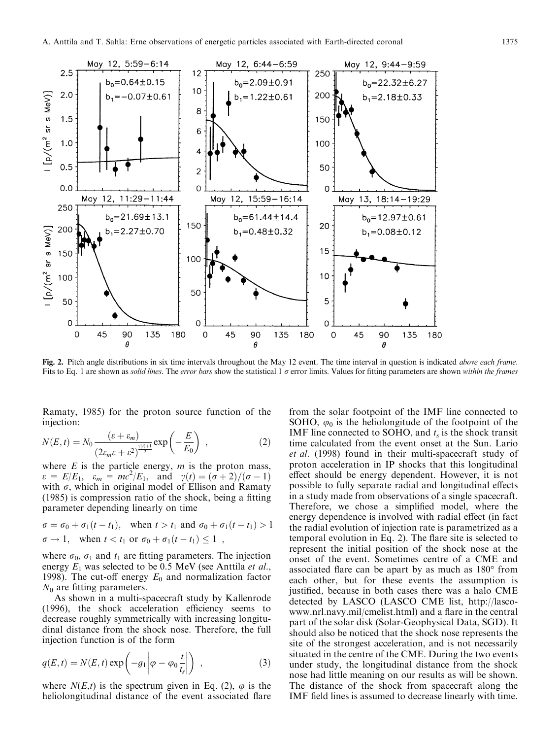

Fig. 2. Pitch angle distributions in six time intervals throughout the May 12 event. The time interval in question is indicated *above each frame*. Fits to Eq. 1 are shown as solid lines. The error bars show the statistical 1  $\sigma$  error limits. Values for fitting parameters are shown within the frames

Ramaty, 1985) for the proton source function of the injection:

$$
N(E,t) = N_0 \frac{(\varepsilon + \varepsilon_m)}{(2\varepsilon_m \varepsilon + \varepsilon^2)^{\frac{\gamma(t)+1}{2}}} \exp\left(-\frac{E}{E_0}\right) ,\qquad (2)
$$

where  $E$  is the particle energy,  $m$  is the proton mass,  $\varepsilon = E/E_1$ ,  $\varepsilon_m = mc^2/E_1$ , and  $\gamma(t) = (\sigma + 2)/(\sigma - 1)$ with  $\sigma$ , which in original model of Ellison and Ramaty (1985) is compression ratio of the shock, being a fitting parameter depending linearly on time

$$
\sigma = \sigma_0 + \sigma_1(t - t_1), \quad \text{when } t > t_1 \text{ and } \sigma_0 + \sigma_1(t - t_1) > 1
$$
\n
$$
\sigma \to 1, \quad \text{when } t < t_1 \text{ or } \sigma_0 + \sigma_1(t - t_1) \le 1 \enspace,
$$

where  $\sigma_0$ ,  $\sigma_1$  and  $t_1$  are fitting parameters. The injection energy  $E_1$  was selected to be 0.5 MeV (see Anttila *et al.*, 1998). The cut-off energy  $E_0$  and normalization factor  $N_0$  are fitting parameters.

As shown in a multi-spacecraft study by Kallenrode (1996), the shock acceleration efficiency seems to decrease roughly symmetrically with increasing longitudinal distance from the shock nose. Therefore, the full injection function is of the form

$$
q(E, t) = N(E, t) \exp\left(-g_1 \middle| \varphi - \varphi_0 \frac{t}{t_s} \middle| \right) , \qquad (3)
$$

where  $N(E,t)$  is the spectrum given in Eq. (2),  $\varphi$  is the heliolongitudinal distance of the event associated flare from the solar footpoint of the IMF line connected to SOHO,  $\varphi_0$  is the heliolongitude of the footpoint of the IMF line connected to SOHO, and  $t_s$  is the shock transit time calculated from the event onset at the Sun. Lario et al. (1998) found in their multi-spacecraft study of proton acceleration in IP shocks that this longitudinal effect should be energy dependent. However, it is not possible to fully separate radial and longitudinal effects in a study made from observations of a single spacecraft. Therefore, we chose a simplified model, where the energy dependence is involved with radial effect (in fact the radial evolution of injection rate is parametrized as a temporal evolution in Eq. 2). The flare site is selected to represent the initial position of the shock nose at the onset of the event. Sometimes centre of a CME and associated flare can be apart by as much as 180° from each other, but for these events the assumption is justified, because in both cases there was a halo CME detected by LASCO (LASCO CME list, http://lascowww.nrl.navy.mil/cmelist.html) and a flare in the central part of the solar disk (Solar-Geophysical Data, SGD). It should also be noticed that the shock nose represents the site of the strongest acceleration, and is not necessarily situated in the centre of the CME. During the two events under study, the longitudinal distance from the shock nose had little meaning on our results as will be shown. The distance of the shock from spacecraft along the IMF field lines is assumed to decrease linearly with time.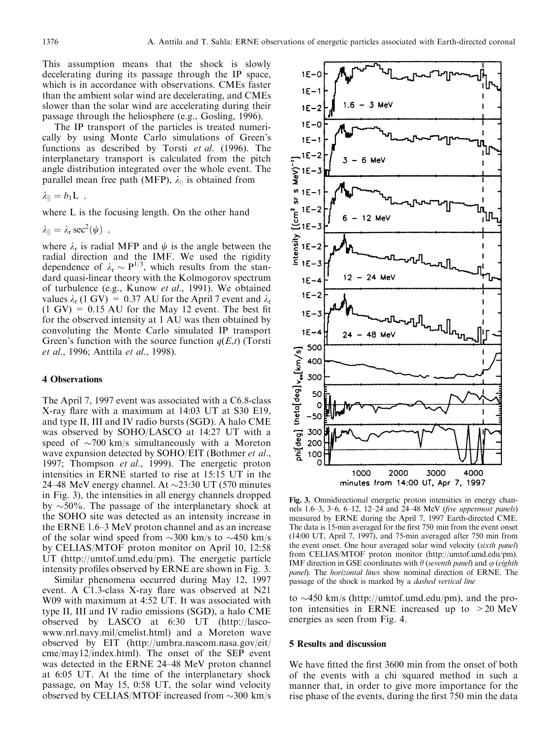This assumption means that the shock is slowly decelerating during its passage through the IP space, which is in accordance with observations. CMEs faster than the ambient solar wind are decelerating, and CMEs slower than the solar wind are accelerating during their passage through the heliosphere (e.g., Gosling, 1996).

The IP transport of the particles is treated numerically by using Monte Carlo simulations of Green's functions as described by Torsti et al. (1996). The interplanetary transport is calculated from the pitch angle distribution integrated over the whole event. The parallel mean free path (MFP),  $\lambda_{\parallel}$  is obtained from

$$
\lambda_{||} = b_1 \mathbf{L} \;\; , \quad
$$

where L is the focusing length. On the other hand

 $\lambda_{\parallel} = \lambda_{\rm r} \sec^2(\psi)$ ,

where  $\lambda_r$  is radial MFP and  $\psi$  is the angle between the radial direction and the IMF. We used the rigidity dependence of  $\lambda_r \sim P^{1/3}$ , which results from the standard quasi-linear theory with the Kolmogorov spectrum of turbulence (e.g., Kunow et al., 1991). We obtained values  $\lambda_r$  (1 GV) = 0.37 AU for the April 7 event and  $\lambda_r$  $(1 \text{ GV}) = 0.15 \text{ AU}$  for the May 12 event. The best fit for the observed intensity at 1 AU was then obtained by convoluting the Monte Carlo simulated IP transport Green's function with the source function  $q(E,t)$  (Torsti et al., 1996; Anttila et al., 1998).

## **4 Observations**

The April 7, 1997 event was associated with a C6.8-class X-ray flare with a maximum at 14:03 UT at S30 E19, and type II, III and IV radio bursts (SGD). A halo CME was observed by SOHO/LASCO at 14:27 UT with a speed of  $\sim$ 700 km/s simultaneously with a Moreton wave expansion detected by SOHO/EIT (Bothmer et al., 1997; Thompson et al., 1999). The energetic proton intensities in ERNE started to rise at 15:15 UT in the 24–48 MeV energy channel. At  $\sim$ 23:30 UT (570 minutes in Fig. 3), the intensities in all energy channels dropped by  $\sim$ 50%. The passage of the interplanetary shock at the SOHO site was detected as an intensity increase in the ERNE 1.6–3 MeV proton channel and as an increase of the solar wind speed from  $\sim$ 300 km/s to  $\sim$ 450 km/s by CELIAS/MTOF proton monitor on April 10, 12:58 UT (http://umtof.umd.edu/pm). The energetic particle intensity profiles observed by ERNE are shown in Fig. 3.

Similar phenomena occurred during May 12, 1997 event. A C1.3-class X-ray flare was observed at N21 W09 with maximum at 4:52 UT. It was associated with type II, III and IV radio emissions (SGD), a halo CME observed by LASCO at 6:30 UT (http://lascowww.nrl.navy.mil/cmelist.html) and a Moreton wave observed by EIT (http://umbra.nascom.nasa.gov/eit/ cme/may12/index.html). The onset of the SEP event was detected in the ERNE 24–48 MeV proton channel at 6:05 UT. At the time of the interplanetary shock passage, on May 15, 0:58 UT, the solar wind velocity observed by CELIAS/MTOF increased from  $\sim$ 300 km/s



Fig. 3. Omnidirectional energetic proton intensities in energy channels 1.6–3, 3–6, 6–12, 12–24 and 24–48 MeV (five uppermost panels) measured by ERNE during the April 7, 1997 Earth-directed CME. The data is 15-min averaged for the first 750 min from the event onset (14:00 UT, April 7, 1997), and 75-min averaged after 750 min from the event onset. One hour averaged solar wind velocity (sixth panel) from CELIAS/MTOF proton monitor (http://umtof.umd.edu/pm). IMF direction in GSE coordinates with  $\theta$  (seventh panel) and  $\varphi$  (eighth *panel*). The *horizontal lines* show nominal direction of ERNE. The passage of the shock is marked by a *dashed vertical line* 

to  $\sim$ 450 km/s (http://umtof.umd.edu/pm), and the proton intensities in ERNE increased up to  $>20$  MeV energies as seen from Fig. 4.

#### **5 Results and discussion**

We have fitted the first 3600 min from the onset of both of the events with a chi squared method in such a manner that, in order to give more importance for the rise phase of the events, during the first 750 min the data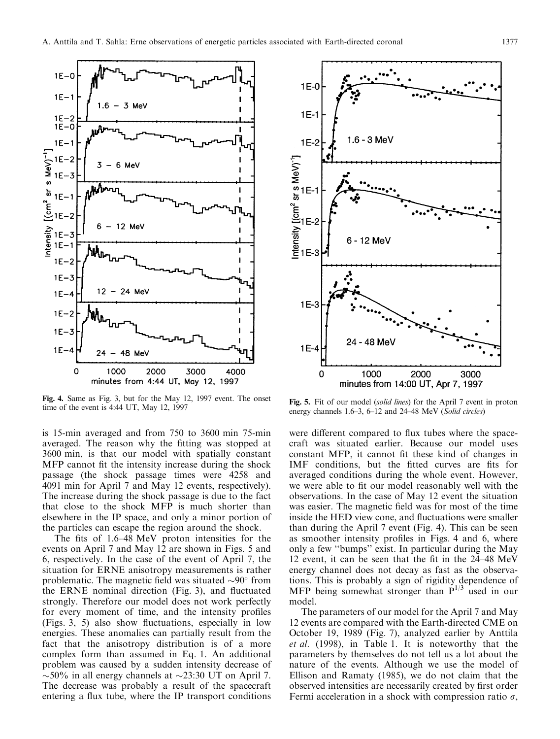

Fig. 4. Same as Fig. 3, but for the May 12, 1997 event. The onset time of the event is 4:44 UT, May 12, 1997

is 15-min averaged and from 750 to 3600 min 75-min averaged. The reason why the fitting was stopped at 3600 min, is that our model with spatially constant MFP cannot fit the intensity increase during the shock passage (the shock passage times were 4258 and 4091 min for April 7 and May 12 events, respectively). The increase during the shock passage is due to the fact that close to the shock MFP is much shorter than elsewhere in the IP space, and only a minor portion of the particles can escape the region around the shock.

The fits of 1.6–48 MeV proton intensities for the events on April 7 and May 12 are shown in Figs. 5 and 6, respectively. In the case of the event of April 7, the situation for ERNE anisotropy measurements is rather problematic. The magnetic field was situated  $\sim 90^{\circ}$  from the ERNE nominal direction (Fig. 3), and fluctuated strongly. Therefore our model does not work perfectly for every moment of time, and the intensity profiles (Figs. 3, 5) also show fluctuations, especially in low energies. These anomalies can partially result from the fact that the anisotropy distribution is of a more complex form than assumed in Eq. 1. An additional problem was caused by a sudden intensity decrease of  $\sim$  50% in all energy channels at  $\sim$  23:30 UT on April 7. The decrease was probably a result of the spacecraft entering a flux tube, where the IP transport conditions



Fig. 5. Fit of our model (solid lines) for the April 7 event in proton energy channels 1.6–3, 6–12 and 24–48 MeV (Solid circles)

were different compared to flux tubes where the spacecraft was situated earlier. Because our model uses constant MFP, it cannot fit these kind of changes in IMF conditions, but the fitted curves are fits for averaged conditions during the whole event. However, we were able to fit our model reasonably well with the observations. In the case of May 12 event the situation was easier. The magnetic field was for most of the time inside the HED view cone, and fluctuations were smaller than during the April 7 event (Fig. 4). This can be seen as smoother intensity profiles in Figs. 4 and 6, where only a few "bumps" exist. In particular during the May 12 event, it can be seen that the fit in the 24–48 MeV energy channel does not decay as fast as the observations. This is probably a sign of rigidity dependence of MFP being somewhat stronger than  $P^{1/3}$  used in our model.

The parameters of our model for the April 7 and May 12 events are compared with the Earth-directed CME on October 19, 1989 (Fig. 7), analyzed earlier by Anttila et al. (1998), in Table 1. It is noteworthy that the parameters by themselves do not tell us a lot about the nature of the events. Although we use the model of Ellison and Ramaty (1985), we do not claim that the observed intensities are necessarily created by first order Fermi acceleration in a shock with compression ratio  $\sigma$ ,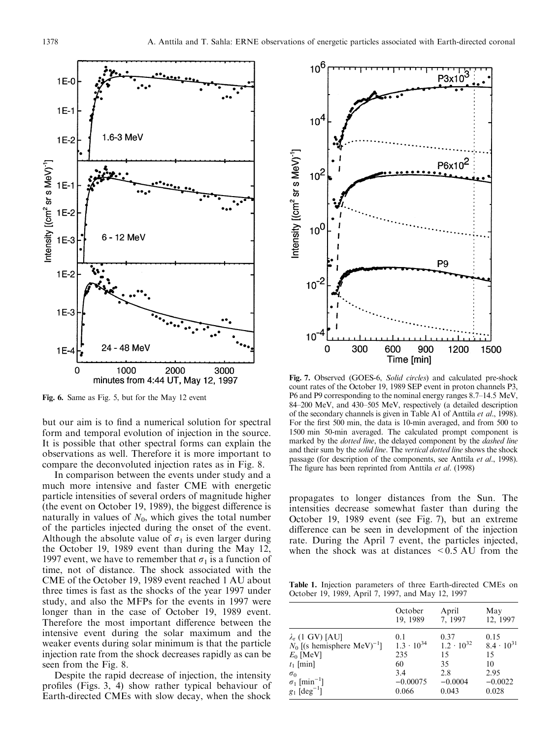

Fig. 6. Same as Fig. 5, but for the May 12 event

but our aim is to find a numerical solution for spectral form and temporal evolution of injection in the source. It is possible that other spectral forms can explain the observations as well. Therefore it is more important to compare the deconvoluted injection rates as in Fig. 8.

In comparison between the events under study and a much more intensive and faster CME with energetic particle intensities of several orders of magnitude higher (the event on October 19, 1989), the biggest difference is naturally in values of  $N_0$ , which gives the total number of the particles injected during the onset of the event. Although the absolute value of  $\sigma_1$  is even larger during the October 19, 1989 event than during the May 12, 1997 event, we have to remember that  $\sigma_1$  is a function of time, not of distance. The shock associated with the CME of the October 19, 1989 event reached 1 AU about three times is fast as the shocks of the year 1997 under study, and also the MFPs for the events in 1997 were longer than in the case of October 19, 1989 event. Therefore the most important difference between the intensive event during the solar maximum and the weaker events during solar minimum is that the particle injection rate from the shock decreases rapidly as can be seen from the Fig. 8.

Despite the rapid decrease of injection, the intensity profiles (Figs. 3, 4) show rather typical behaviour of Earth-directed CMEs with slow decay, when the shock



Fig. 7. Observed (GOES-6, Solid circles) and calculated pre-shock count rates of the October 19, 1989 SEP event in proton channels P3, P6 and P9 corresponding to the nominal energy ranges 8.7–14.5 MeV, 84-200 MeV, and 430-505 MeV, respectively (a detailed description of the secondary channels is given in Table A1 of Anttila et al., 1998). For the first 500 min, the data is 10-min averaged, and from 500 to 1500 min 50-min averaged. The calculated prompt component is marked by the *dotted line*, the delayed component by the *dashed line* and their sum by the solid line. The vertical dotted line shows the shock passage (for description of the components, see Anttila et al., 1998). The figure has been reprinted from Anttila et al. (1998)

propagates to longer distances from the Sun. The intensities decrease somewhat faster than during the October 19, 1989 event (see Fig. 7), but an extreme difference can be seen in development of the injection rate. During the April 7 event, the particles injected, when the shock was at distances  $\leq 0.5$  AU from the

Table 1. Injection parameters of three Earth-directed CMEs on October 19, 1989, April 7, 1997, and May 12, 1997

|                                           | October             | April               | May                 |
|-------------------------------------------|---------------------|---------------------|---------------------|
|                                           | 19, 1989            | 7, 1997             | 12, 1997            |
| $\lambda_r$ (1 GV) [AU]                   | 0.1                 | 0.37                | 0.15                |
| $N_0$ [(s hemisphere MeV) <sup>-1</sup> ] | $1.3 \cdot 10^{34}$ | $1.2 \cdot 10^{32}$ | $8.4 \cdot 10^{31}$ |
| $E_0$ [MeV]                               | 235                 | 15                  | 15                  |
| $t_1$ [min]                               | 60                  | 35                  | 10                  |
| $\sigma_0$                                | 3.4                 | 2.8                 | 2.95                |
| $\sigma_1$ [min <sup>-1</sup> ]           | $-0.00075$          | $-0.0004$           | $-0.0022$           |
| $g_1$ [deg <sup>-1</sup> ]                | 0.066               | 0.043               | 0.028               |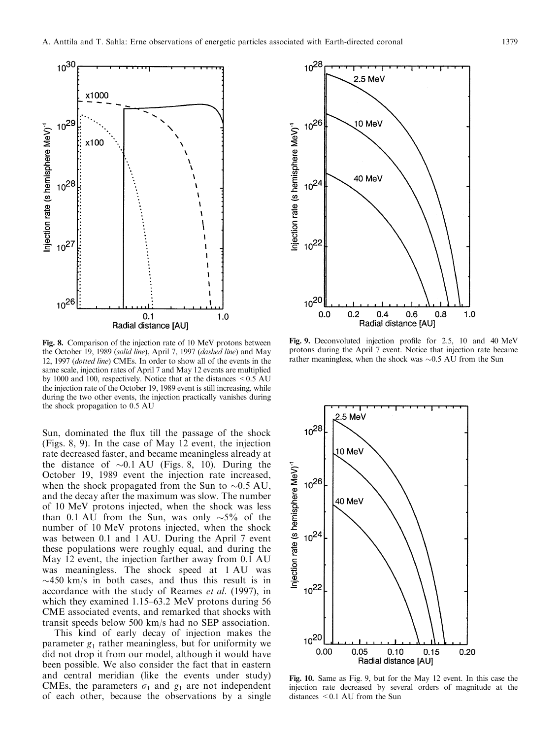

Fig. 8. Comparison of the injection rate of 10 MeV protons between the October 19, 1989 (solid line), April 7, 1997 (dashed line) and May 12, 1997 (dotted line) CMEs. In order to show all of the events in the same scale, injection rates of April 7 and May 12 events are multiplied by 1000 and 100, respectively. Notice that at the distances  $\leq 0.5$  AU the injection rate of the October 19, 1989 event is still increasing, while during the two other events, the injection practically vanishes during the shock propagation to 0.5 AU

Sun, dominated the flux till the passage of the shock (Figs. 8, 9). In the case of May 12 event, the injection rate decreased faster, and became meaningless already at the distance of  $\sim 0.1$  AU (Figs. 8, 10). During the October 19, 1989 event the injection rate increased, when the shock propagated from the Sun to  $\sim 0.5$  AU, and the decay after the maximum was slow. The number of 10 MeV protons injected, when the shock was less than 0.1 AU from the Sun, was only  $\sim$ 5% of the number of 10 MeV protons injected, when the shock was between 0.1 and 1 AU. During the April 7 event these populations were roughly equal, and during the May 12 event, the injection farther away from 0.1 AU was meaningless. The shock speed at 1 AU was  $\sim$ 450 km/s in both cases, and thus this result is in accordance with the study of Reames et al. (1997), in which they examined 1.15–63.2 MeV protons during 56 CME associated events, and remarked that shocks with transit speeds below 500 km/s had no SEP association.

This kind of early decay of injection makes the parameter  $g_1$  rather meaningless, but for uniformity we did not drop it from our model, although it would have been possible. We also consider the fact that in eastern and central meridian (like the events under study) CMEs, the parameters  $\sigma_1$  and  $g_1$  are not independent of each other, because the observations by a single



Fig. 9. Deconvoluted injection profile for 2.5, 10 and 40 MeV protons during the April 7 event. Notice that injection rate became rather meaningless, when the shock was  $\sim 0.5$  AU from the Sun



Fig. 10. Same as Fig. 9, but for the May 12 event. In this case the injection rate decreased by several orders of magnitude at the distances  $\leq 0.1$  AU from the Sun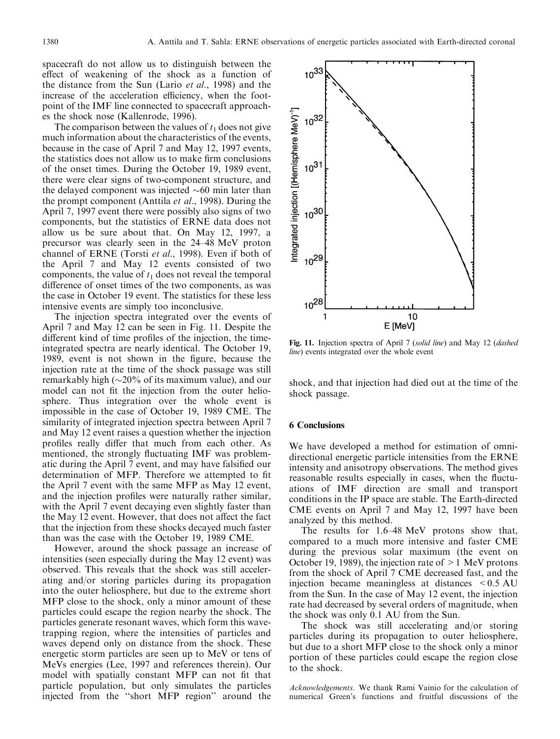spacecraft do not allow us to distinguish between the effect of weakening of the shock as a function of the distance from the Sun (Lario *et al.*, 1998) and the increase of the acceleration efficiency, when the footpoint of the IMF line connected to spacecraft approaches the shock nose (Kallenrode, 1996).

The comparison between the values of  $t_1$  does not give much information about the characteristics of the events, because in the case of April 7 and May 12, 1997 events, the statistics does not allow us to make firm conclusions of the onset times. During the October 19, 1989 event, there were clear signs of two-component structure, and the delayed component was injected  $\sim 60$  min later than the prompt component (Anttila et al., 1998). During the April 7, 1997 event there were possibly also signs of two components, but the statistics of ERNE data does not allow us be sure about that. On May 12, 1997, a precursor was clearly seen in the 24–48 MeV proton channel of ERNE (Torsti et al., 1998). Even if both of the April 7 and May 12 events consisted of two components, the value of  $t_1$  does not reveal the temporal difference of onset times of the two components, as was the case in October 19 event. The statistics for these less intensive events are simply too inconclusive.

The injection spectra integrated over the events of April 7 and May 12 can be seen in Fig. 11. Despite the different kind of time profiles of the injection, the timeintegrated spectra are nearly identical. The October 19, 1989, event is not shown in the figure, because the injection rate at the time of the shock passage was still remarkably high  $(\sim 20\%$  of its maximum value), and our model can not fit the injection from the outer heliosphere. Thus integration over the whole event is impossible in the case of October 19, 1989 CME. The similarity of integrated injection spectra between April 7 and May 12 event raises a question whether the injection profiles really differ that much from each other. As mentioned, the strongly fluctuating IMF was problematic during the April 7 event, and may have falsified our determination of MFP. Therefore we attempted to fit the April 7 event with the same MFP as May 12 event, and the injection profiles were naturally rather similar, with the April 7 event decaying even slightly faster than the May 12 event. However, that does not affect the fact that the injection from these shocks decayed much faster than was the case with the October 19, 1989 CME.

However, around the shock passage an increase of intensities (seen especially during the May 12 event) was observed. This reveals that the shock was still accelerating and/or storing particles during its propagation into the outer heliosphere, but due to the extreme short MFP close to the shock, only a minor amount of these particles could escape the region nearby the shock. The particles generate resonant waves, which form this wavetrapping region, where the intensities of particles and waves depend only on distance from the shock. These energetic storm particles are seen up to MeV or tens of MeVs energies (Lee, 1997 and references therein). Our model with spatially constant MFP can not fit that particle population, but only simulates the particles injected from the "short MFP region" around the



Fig. 11. Injection spectra of April 7 (solid line) and May 12 (dashed line) events integrated over the whole event

shock, and that injection had died out at the time of the shock passage.

## **6 Conclusions**

We have developed a method for estimation of omnidirectional energetic particle intensities from the ERNE intensity and anisotropy observations. The method gives reasonable results especially in cases, when the fluctuations of IMF direction are small and transport conditions in the IP space are stable. The Earth-directed CME events on April 7 and May 12, 1997 have been analyzed by this method.

The results for 1.6–48 MeV protons show that, compared to a much more intensive and faster CME during the previous solar maximum (the event on October 19, 1989), the injection rate of  $>1$  MeV protons from the shock of April 7 CME decreased fast, and the injection became meaningless at distances  $\leq 0.5$  AU from the Sun. In the case of May 12 event, the injection rate had decreased by several orders of magnitude, when the shock was only 0.1 AU from the Sun.

The shock was still accelerating and/or storing particles during its propagation to outer heliosphere, but due to a short MFP close to the shock only a minor portion of these particles could escape the region close to the shock.

Acknowledgements. We thank Rami Vainio for the calculation of numerical Green's functions and fruitful discussions of the